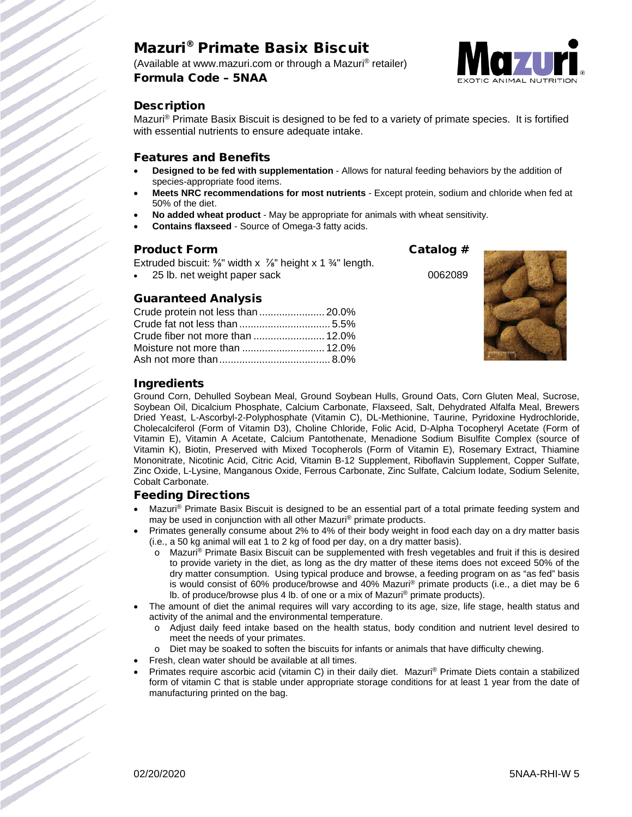# Mazuri® Primate Basix Biscuit

(Available at www.mazuri.com or through a Mazuri® retailer) Formula Code – 5NAA



# **Description**

Mazuri® Primate Basix Biscuit is designed to be fed to a variety of primate species. It is fortified with essential nutrients to ensure adequate intake.

### Features and Benefits

- **Designed to be fed with supplementation**  Allows for natural feeding behaviors by the addition of species-appropriate food items.
- **Meets NRC recommendations for most nutrients** Except protein, sodium and chloride when fed at 50% of the diet.
- **No added wheat product** May be appropriate for animals with wheat sensitivity.
- **Contains flaxseed**  Source of Omega-3 fatty acids.

# Product Form Catalog #

Extruded biscuit:  $\frac{5}{8}$ " width x  $\frac{7}{8}$ " height x 1  $\frac{3}{4}$ " length.

• 25 lb. net weight paper sack 0062089

# Guaranteed Analysis

| Crude protein not less than  20.0% |  |
|------------------------------------|--|
|                                    |  |
|                                    |  |
|                                    |  |
|                                    |  |





# Ingredients

Ground Corn, Dehulled Soybean Meal, Ground Soybean Hulls, Ground Oats, Corn Gluten Meal, Sucrose, Soybean Oil, Dicalcium Phosphate, Calcium Carbonate, Flaxseed, Salt, Dehydrated Alfalfa Meal, Brewers Dried Yeast, L-Ascorbyl-2-Polyphosphate (Vitamin C), DL-Methionine, Taurine, Pyridoxine Hydrochloride, Cholecalciferol (Form of Vitamin D3), Choline Chloride, Folic Acid, D-Alpha Tocopheryl Acetate (Form of Vitamin E), Vitamin A Acetate, Calcium Pantothenate, Menadione Sodium Bisulfite Complex (source of Vitamin K), Biotin, Preserved with Mixed Tocopherols (Form of Vitamin E), Rosemary Extract, Thiamine Mononitrate, Nicotinic Acid, Citric Acid, Vitamin B-12 Supplement, Riboflavin Supplement, Copper Sulfate, Zinc Oxide, L-Lysine, Manganous Oxide, Ferrous Carbonate, Zinc Sulfate, Calcium Iodate, Sodium Selenite, Cobalt Carbonate.

#### Feeding Directions

- Mazuri<sup>®</sup> Primate Basix Biscuit is designed to be an essential part of a total primate feeding system and may be used in conjunction with all other Mazuri® primate products.
- Primates generally consume about 2% to 4% of their body weight in food each day on a dry matter basis (i.e., a 50 kg animal will eat 1 to 2 kg of food per day, on a dry matter basis).
	- $\circ$  Mazuri® Primate Basix Biscuit can be supplemented with fresh vegetables and fruit if this is desired to provide variety in the diet, as long as the dry matter of these items does not exceed 50% of the dry matter consumption. Using typical produce and browse, a feeding program on as "as fed" basis is would consist of 60% produce/browse and 40% Mazuri® primate products (i.e., a diet may be 6 lb. of produce/browse plus 4 lb. of one or a mix of Mazuri® primate products).
- The amount of diet the animal requires will vary according to its age, size, life stage, health status and activity of the animal and the environmental temperature.
	- o Adjust daily feed intake based on the health status, body condition and nutrient level desired to meet the needs of your primates.
	- o Diet may be soaked to soften the biscuits for infants or animals that have difficulty chewing.
	- Fresh, clean water should be available at all times.
- Primates require ascorbic acid (vitamin C) in their daily diet. Mazuri® Primate Diets contain a stabilized form of vitamin C that is stable under appropriate storage conditions for at least 1 year from the date of manufacturing printed on the bag.